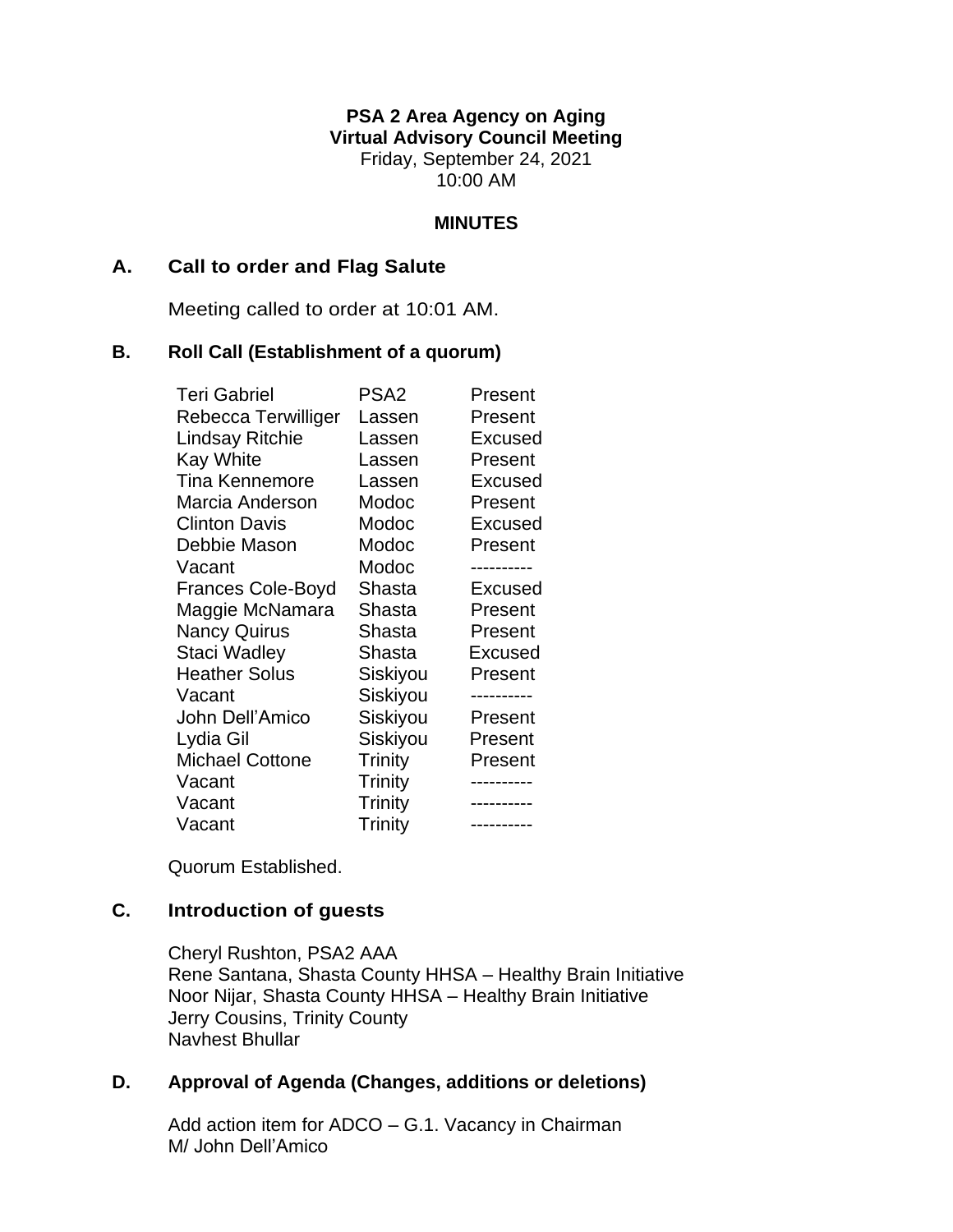**PSA 2 Area Agency on Aging Virtual Advisory Council Meeting** Friday, September 24, 2021 10:00 AM

#### **MINUTES**

#### **A. Call to order and Flag Salute**

Meeting called to order at 10:01 AM.

# **B. Roll Call (Establishment of a quorum)**

| <b>Teri Gabriel</b>      | PSA <sub>2</sub> | Present        |
|--------------------------|------------------|----------------|
| Rebecca Terwilliger      | Lassen           | Present        |
| Lindsay Ritchie          | Lassen           | Excused        |
| <b>Kay White</b>         | Lassen           | Present        |
| <b>Tina Kennemore</b>    | Lassen           | Excused        |
| Marcia Anderson          | Modoc            | Present        |
| <b>Clinton Davis</b>     | Modoc            | Excused        |
| Debbie Mason             | Modoc            | Present        |
| Vacant                   | Modoc            |                |
| <b>Frances Cole-Boyd</b> | Shasta           | <b>Excused</b> |
| Maggie McNamara          | Shasta           | Present        |
| <b>Nancy Quirus</b>      | Shasta           | Present        |
| Staci Wadley             | Shasta           | <b>Excused</b> |
| <b>Heather Solus</b>     | Siskiyou         | Present        |
| Vacant                   | Siskiyou         |                |
| John Dell'Amico          | Siskiyou         | Present        |
| Lydia Gil                | Siskiyou         | Present        |
| <b>Michael Cottone</b>   | Trinity          | Present        |
| Vacant                   | Trinity          |                |
| Vacant                   | Trinity          |                |
| Vacant                   | Trinity          | ----------     |

Quorum Established.

# **C. Introduction of guests**

Cheryl Rushton, PSA2 AAA Rene Santana, Shasta County HHSA – Healthy Brain Initiative Noor Nijar, Shasta County HHSA – Healthy Brain Initiative Jerry Cousins, Trinity County Navhest Bhullar

#### **D. Approval of Agenda (Changes, additions or deletions)**

Add action item for ADCO – G.1. Vacancy in Chairman M/ John Dell'Amico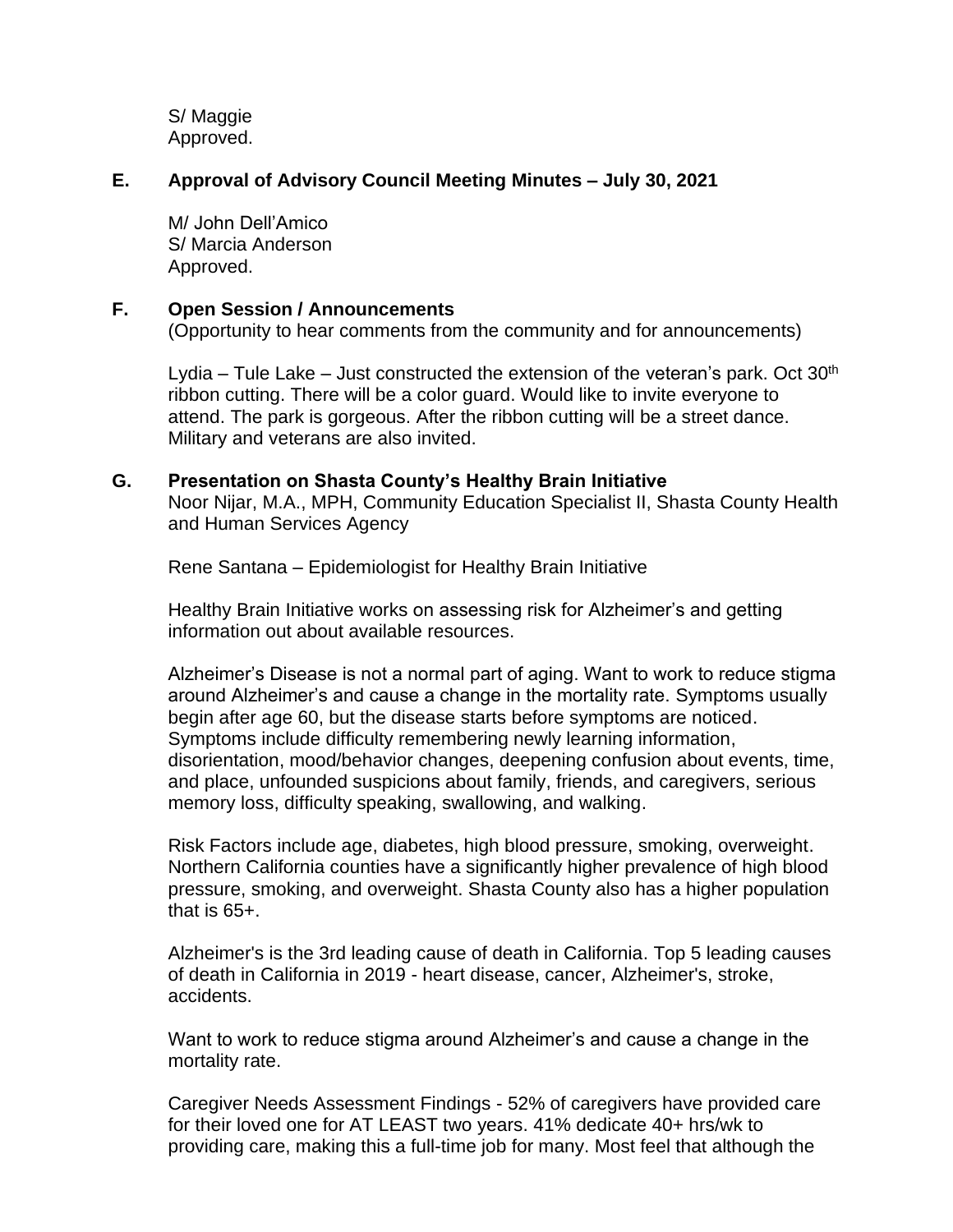S/ Maggie Approved.

## **E. Approval of Advisory Council Meeting Minutes – July 30, 2021**

M/ John Dell'Amico S/ Marcia Anderson Approved.

#### **F. Open Session / Announcements**

(Opportunity to hear comments from the community and for announcements)

Lydia – Tule Lake – Just constructed the extension of the veteran's park. Oct  $30<sup>th</sup>$ ribbon cutting. There will be a color guard. Would like to invite everyone to attend. The park is gorgeous. After the ribbon cutting will be a street dance. Military and veterans are also invited.

#### **G. Presentation on Shasta County's Healthy Brain Initiative**

Noor Nijar, M.A., MPH, Community Education Specialist II, Shasta County Health and Human Services Agency

Rene Santana – Epidemiologist for Healthy Brain Initiative

Healthy Brain Initiative works on assessing risk for Alzheimer's and getting information out about available resources.

Alzheimer's Disease is not a normal part of aging. Want to work to reduce stigma around Alzheimer's and cause a change in the mortality rate. Symptoms usually begin after age 60, but the disease starts before symptoms are noticed. Symptoms include difficulty remembering newly learning information, disorientation, mood/behavior changes, deepening confusion about events, time, and place, unfounded suspicions about family, friends, and caregivers, serious memory loss, difficulty speaking, swallowing, and walking.

Risk Factors include age, diabetes, high blood pressure, smoking, overweight. Northern California counties have a significantly higher prevalence of high blood pressure, smoking, and overweight. Shasta County also has a higher population that is 65+.

Alzheimer's is the 3rd leading cause of death in California. Top 5 leading causes of death in California in 2019 - heart disease, cancer, Alzheimer's, stroke, accidents.

Want to work to reduce stigma around Alzheimer's and cause a change in the mortality rate.

Caregiver Needs Assessment Findings - 52% of caregivers have provided care for their loved one for AT LEAST two years. 41% dedicate 40+ hrs/wk to providing care, making this a full-time job for many. Most feel that although the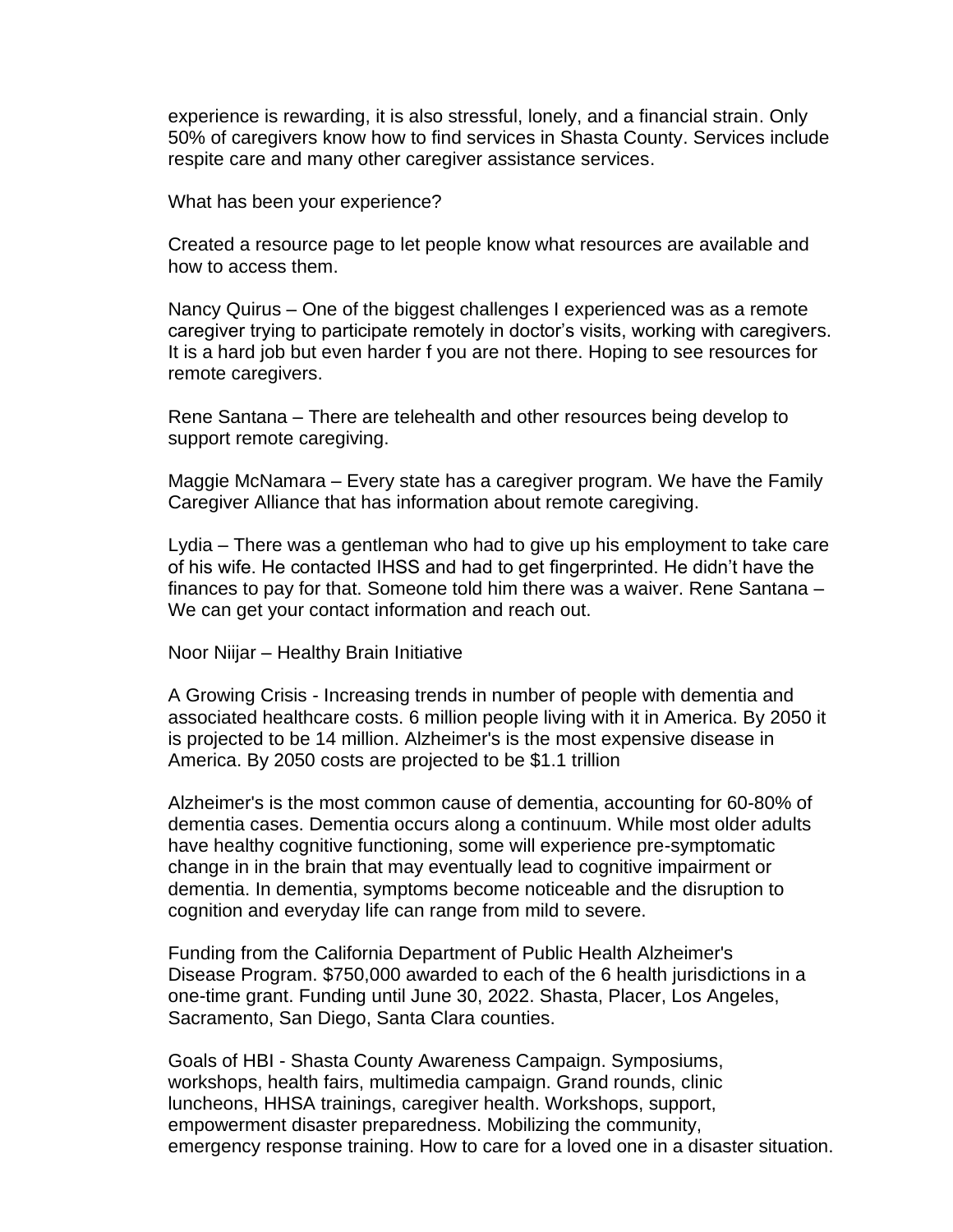experience is rewarding, it is also stressful, lonely, and a financial strain. Only 50% of caregivers know how to find services in Shasta County. Services include respite care and many other caregiver assistance services.

What has been your experience?

Created a resource page to let people know what resources are available and how to access them.

Nancy Quirus – One of the biggest challenges I experienced was as a remote caregiver trying to participate remotely in doctor's visits, working with caregivers. It is a hard job but even harder f you are not there. Hoping to see resources for remote caregivers.

Rene Santana – There are telehealth and other resources being develop to support remote caregiving.

Maggie McNamara – Every state has a caregiver program. We have the Family Caregiver Alliance that has information about remote caregiving.

Lydia – There was a gentleman who had to give up his employment to take care of his wife. He contacted IHSS and had to get fingerprinted. He didn't have the finances to pay for that. Someone told him there was a waiver. Rene Santana – We can get your contact information and reach out.

Noor Niijar – Healthy Brain Initiative

A Growing Crisis - Increasing trends in number of people with dementia and associated healthcare costs. 6 million people living with it in America. By 2050 it is projected to be 14 million. Alzheimer's is the most expensive disease in America. By 2050 costs are projected to be \$1.1 trillion

Alzheimer's is the most common cause of dementia, accounting for 60-80% of dementia cases. Dementia occurs along a continuum. While most older adults have healthy cognitive functioning, some will experience pre-symptomatic change in in the brain that may eventually lead to cognitive impairment or dementia. In dementia, symptoms become noticeable and the disruption to cognition and everyday life can range from mild to severe.

Funding from the California Department of Public Health Alzheimer's Disease Program. \$750,000 awarded to each of the 6 health jurisdictions in a one-time grant. Funding until June 30, 2022. Shasta, Placer, Los Angeles, Sacramento, San Diego, Santa Clara counties.

Goals of HBI - Shasta County Awareness Campaign. Symposiums, workshops, health fairs, multimedia campaign. Grand rounds, clinic luncheons, HHSA trainings, caregiver health. Workshops, support, empowerment disaster preparedness. Mobilizing the community, emergency response training. How to care for a loved one in a disaster situation.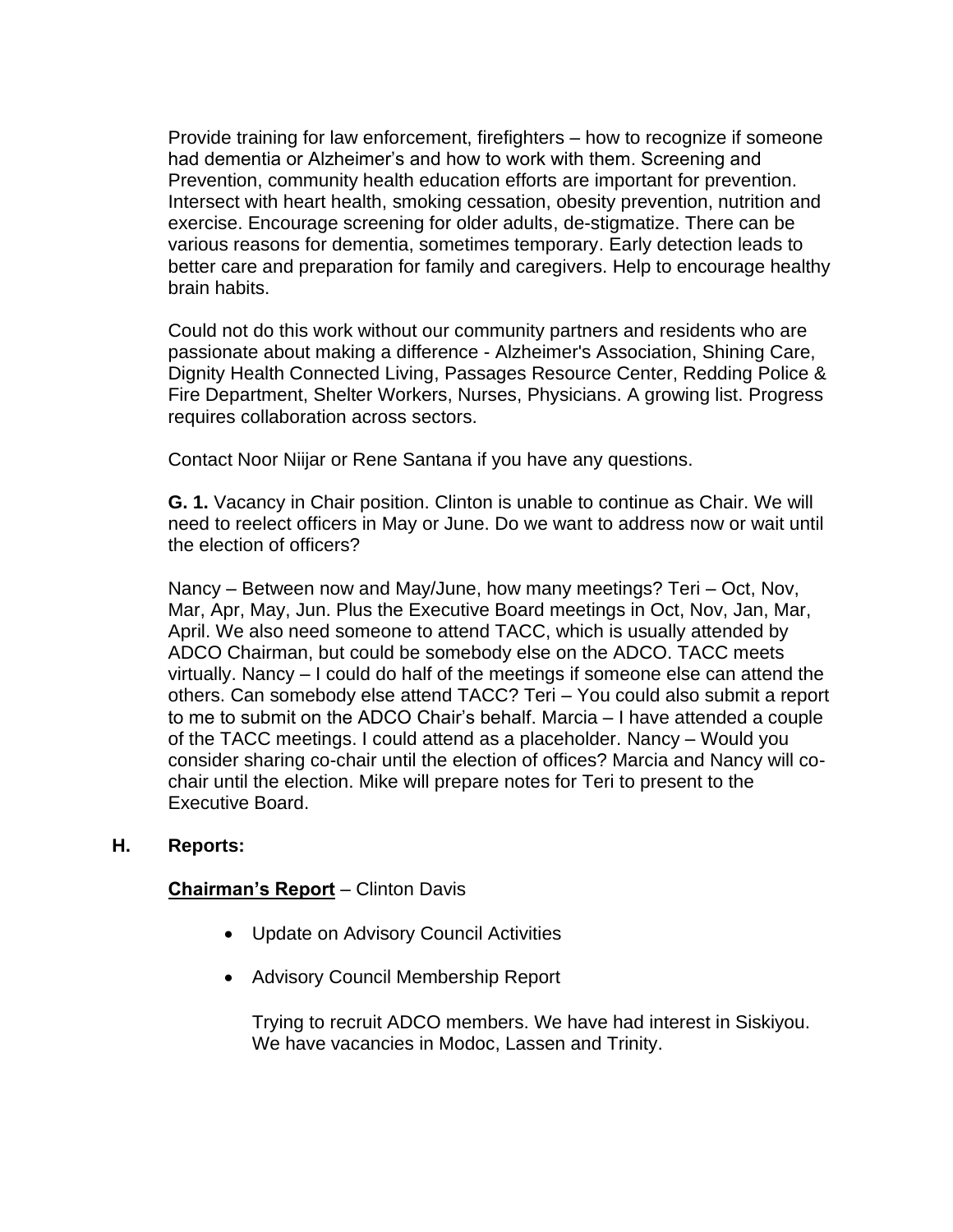Provide training for law enforcement, firefighters – how to recognize if someone had dementia or Alzheimer's and how to work with them. Screening and Prevention, community health education efforts are important for prevention. Intersect with heart health, smoking cessation, obesity prevention, nutrition and exercise. Encourage screening for older adults, de-stigmatize. There can be various reasons for dementia, sometimes temporary. Early detection leads to better care and preparation for family and caregivers. Help to encourage healthy brain habits.

Could not do this work without our community partners and residents who are passionate about making a difference - Alzheimer's Association, Shining Care, Dignity Health Connected Living, Passages Resource Center, Redding Police & Fire Department, Shelter Workers, Nurses, Physicians. A growing list. Progress requires collaboration across sectors.

Contact Noor Niijar or Rene Santana if you have any questions.

**G. 1.** Vacancy in Chair position. Clinton is unable to continue as Chair. We will need to reelect officers in May or June. Do we want to address now or wait until the election of officers?

Nancy – Between now and May/June, how many meetings? Teri – Oct, Nov, Mar, Apr, May, Jun. Plus the Executive Board meetings in Oct, Nov, Jan, Mar, April. We also need someone to attend TACC, which is usually attended by ADCO Chairman, but could be somebody else on the ADCO. TACC meets virtually. Nancy – I could do half of the meetings if someone else can attend the others. Can somebody else attend TACC? Teri – You could also submit a report to me to submit on the ADCO Chair's behalf. Marcia – I have attended a couple of the TACC meetings. I could attend as a placeholder. Nancy – Would you consider sharing co-chair until the election of offices? Marcia and Nancy will cochair until the election. Mike will prepare notes for Teri to present to the Executive Board.

# **H. Reports:**

# **Chairman's Report** – Clinton Davis

- Update on Advisory Council Activities
- Advisory Council Membership Report

Trying to recruit ADCO members. We have had interest in Siskiyou. We have vacancies in Modoc, Lassen and Trinity.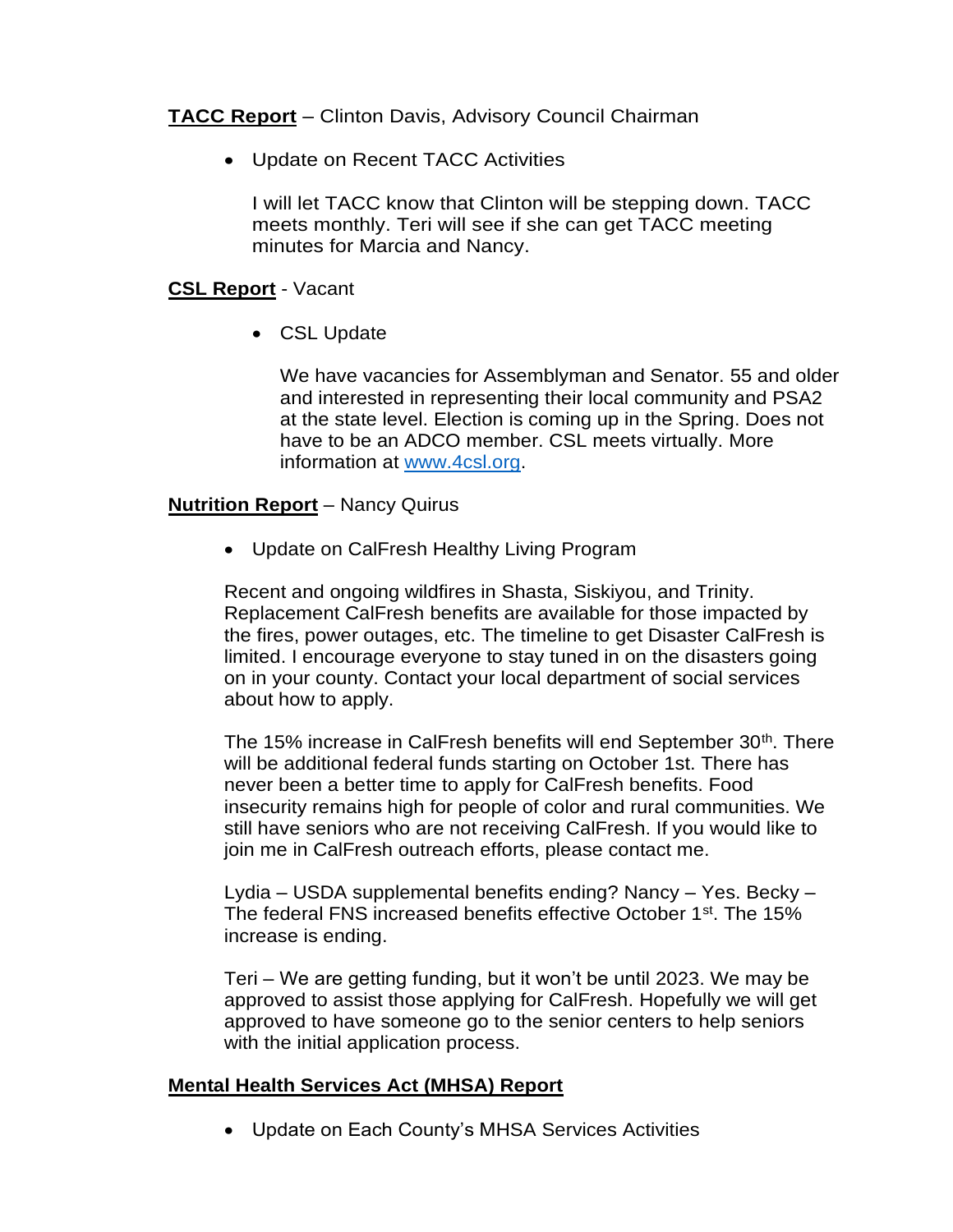**TACC Report** – Clinton Davis, Advisory Council Chairman

• Update on Recent TACC Activities

I will let TACC know that Clinton will be stepping down. TACC meets monthly. Teri will see if she can get TACC meeting minutes for Marcia and Nancy.

## **CSL Report** - Vacant

• CSL Update

We have vacancies for Assemblyman and Senator. 55 and older and interested in representing their local community and PSA2 at the state level. Election is coming up in the Spring. Does not have to be an ADCO member. CSL meets virtually. More information at [www.4csl.org.](http://www.4csl.org/)

### **Nutrition Report** – Nancy Quirus

• Update on CalFresh Healthy Living Program

Recent and ongoing wildfires in Shasta, Siskiyou, and Trinity. Replacement CalFresh benefits are available for those impacted by the fires, power outages, etc. The timeline to get Disaster CalFresh is limited. I encourage everyone to stay tuned in on the disasters going on in your county. Contact your local department of social services about how to apply.

The 15% increase in CalFresh benefits will end September 30<sup>th</sup>. There will be additional federal funds starting on October 1st. There has never been a better time to apply for CalFresh benefits. Food insecurity remains high for people of color and rural communities. We still have seniors who are not receiving CalFresh. If you would like to join me in CalFresh outreach efforts, please contact me.

Lydia – USDA supplemental benefits ending? Nancy – Yes. Becky – The federal FNS increased benefits effective October 1st. The 15% increase is ending.

Teri – We are getting funding, but it won't be until 2023. We may be approved to assist those applying for CalFresh. Hopefully we will get approved to have someone go to the senior centers to help seniors with the initial application process.

### **Mental Health Services Act (MHSA) Report**

• Update on Each County's MHSA Services Activities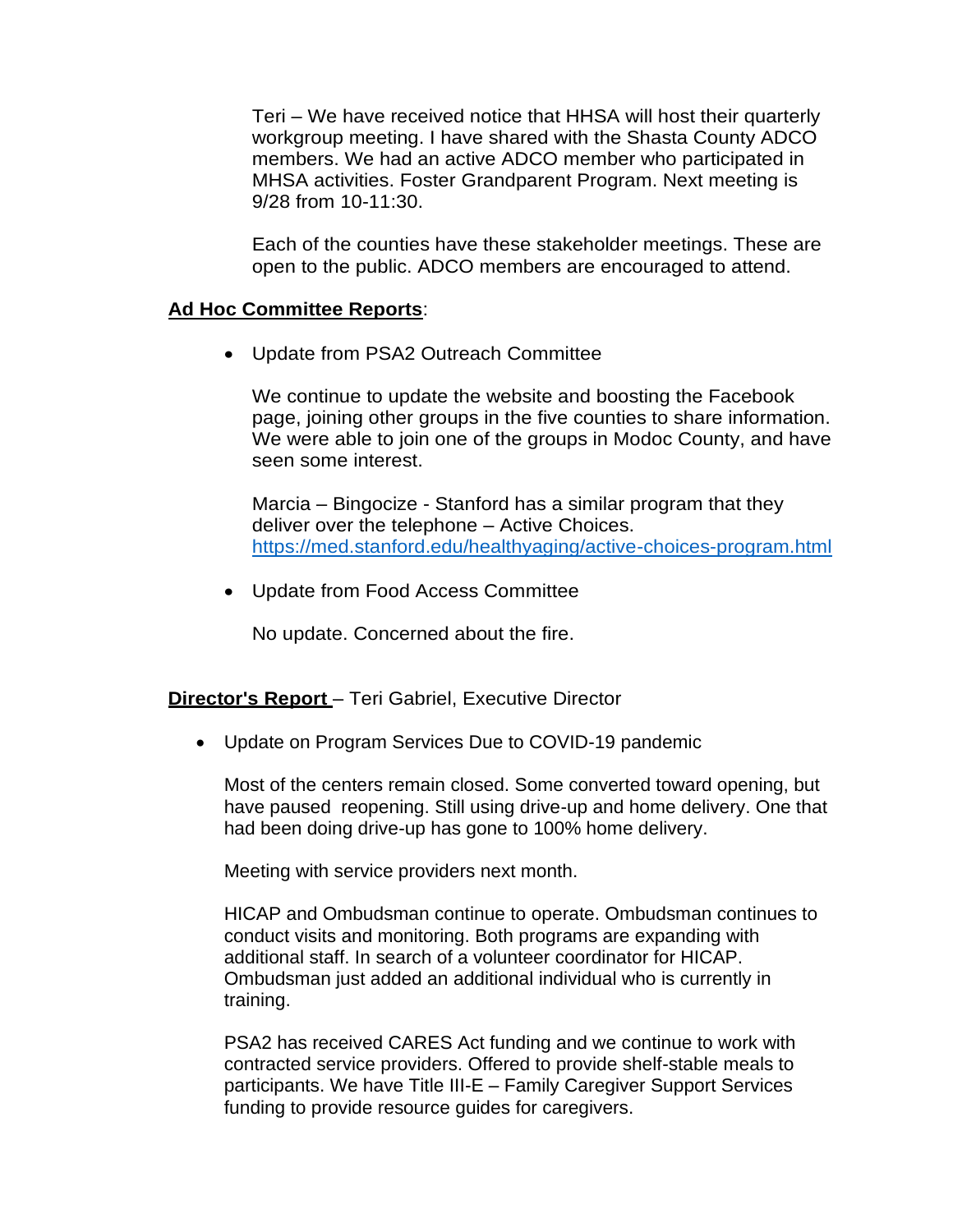Teri – We have received notice that HHSA will host their quarterly workgroup meeting. I have shared with the Shasta County ADCO members. We had an active ADCO member who participated in MHSA activities. Foster Grandparent Program. Next meeting is 9/28 from 10-11:30.

Each of the counties have these stakeholder meetings. These are open to the public. ADCO members are encouraged to attend.

#### **Ad Hoc Committee Reports**:

• Update from PSA2 Outreach Committee

We continue to update the website and boosting the Facebook page, joining other groups in the five counties to share information. We were able to join one of the groups in Modoc County, and have seen some interest.

Marcia – Bingocize - Stanford has a similar program that they deliver over the telephone – Active Choices. <https://med.stanford.edu/healthyaging/active-choices-program.html>

• Update from Food Access Committee

No update. Concerned about the fire.

#### **Director's Report** – Teri Gabriel, Executive Director

• Update on Program Services Due to COVID-19 pandemic

Most of the centers remain closed. Some converted toward opening, but have paused reopening. Still using drive-up and home delivery. One that had been doing drive-up has gone to 100% home delivery.

Meeting with service providers next month.

HICAP and Ombudsman continue to operate. Ombudsman continues to conduct visits and monitoring. Both programs are expanding with additional staff. In search of a volunteer coordinator for HICAP. Ombudsman just added an additional individual who is currently in training.

PSA2 has received CARES Act funding and we continue to work with contracted service providers. Offered to provide shelf-stable meals to participants. We have Title III-E – Family Caregiver Support Services funding to provide resource guides for caregivers.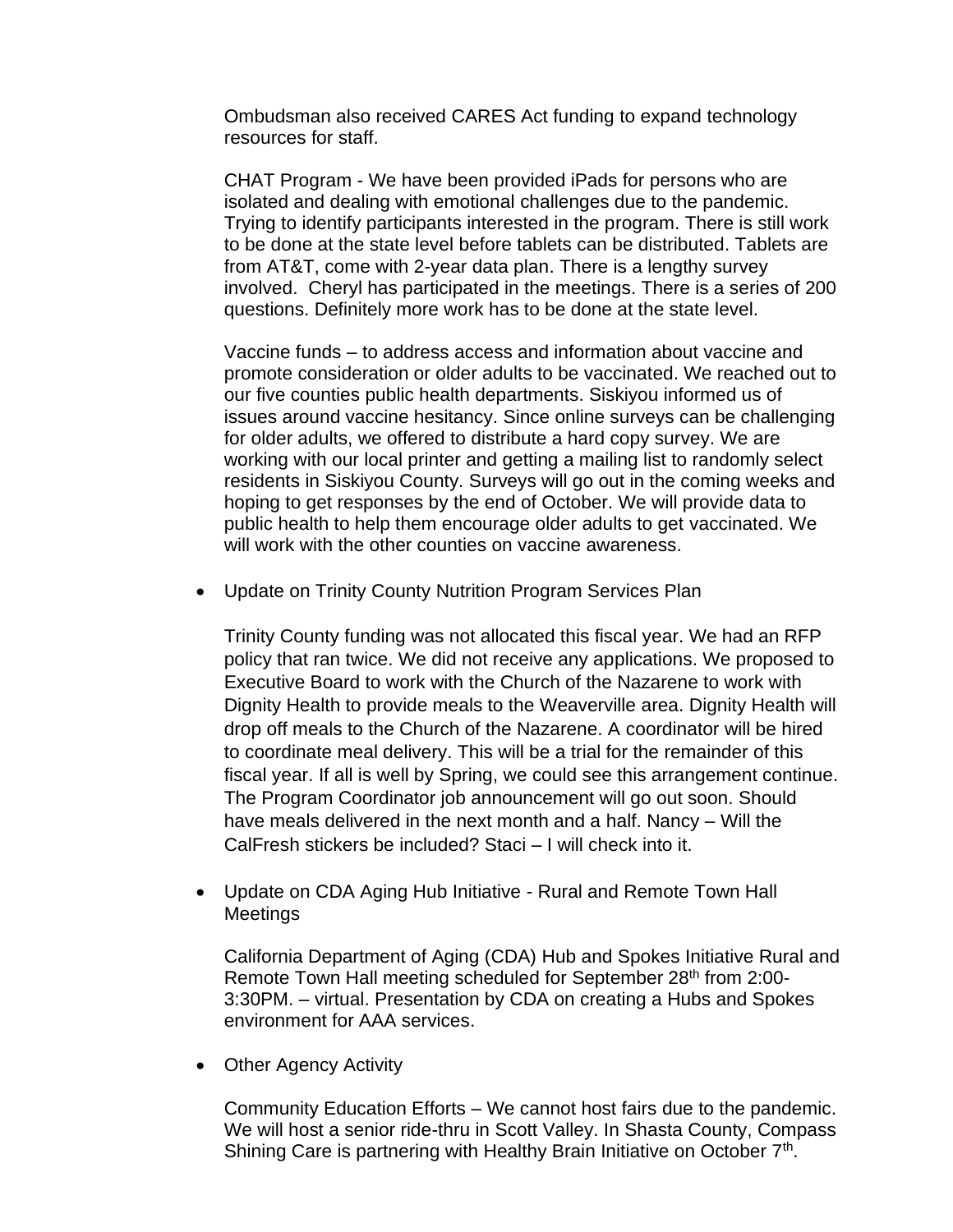Ombudsman also received CARES Act funding to expand technology resources for staff.

CHAT Program - We have been provided iPads for persons who are isolated and dealing with emotional challenges due to the pandemic. Trying to identify participants interested in the program. There is still work to be done at the state level before tablets can be distributed. Tablets are from AT&T, come with 2-year data plan. There is a lengthy survey involved. Cheryl has participated in the meetings. There is a series of 200 questions. Definitely more work has to be done at the state level.

Vaccine funds – to address access and information about vaccine and promote consideration or older adults to be vaccinated. We reached out to our five counties public health departments. Siskiyou informed us of issues around vaccine hesitancy. Since online surveys can be challenging for older adults, we offered to distribute a hard copy survey. We are working with our local printer and getting a mailing list to randomly select residents in Siskiyou County. Surveys will go out in the coming weeks and hoping to get responses by the end of October. We will provide data to public health to help them encourage older adults to get vaccinated. We will work with the other counties on vaccine awareness.

• Update on Trinity County Nutrition Program Services Plan

Trinity County funding was not allocated this fiscal year. We had an RFP policy that ran twice. We did not receive any applications. We proposed to Executive Board to work with the Church of the Nazarene to work with Dignity Health to provide meals to the Weaverville area. Dignity Health will drop off meals to the Church of the Nazarene. A coordinator will be hired to coordinate meal delivery. This will be a trial for the remainder of this fiscal year. If all is well by Spring, we could see this arrangement continue. The Program Coordinator job announcement will go out soon. Should have meals delivered in the next month and a half. Nancy – Will the CalFresh stickers be included? Staci – I will check into it.

• Update on CDA Aging Hub Initiative - Rural and Remote Town Hall Meetings

California Department of Aging (CDA) Hub and Spokes Initiative Rural and Remote Town Hall meeting scheduled for September 28<sup>th</sup> from 2:00-3:30PM. – virtual. Presentation by CDA on creating a Hubs and Spokes environment for AAA services.

• Other Agency Activity

Community Education Efforts – We cannot host fairs due to the pandemic. We will host a senior ride-thru in Scott Valley. In Shasta County, Compass Shining Care is partnering with Healthy Brain Initiative on October 7<sup>th</sup>.